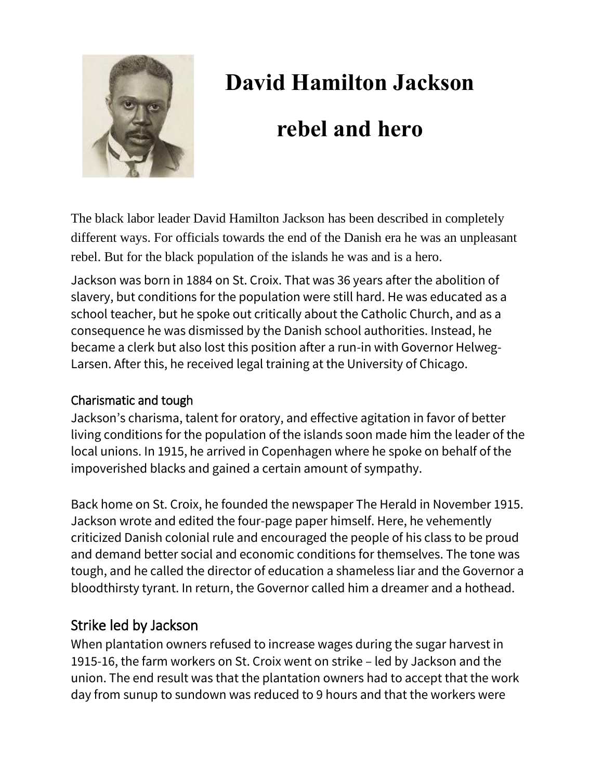

# **David Hamilton Jackson**

## **rebel and hero**

The black labor leader David Hamilton Jackson has been described in completely different ways. For officials towards the end of the Danish era he was an unpleasant rebel. But for the black population of the islands he was and is a hero.

Jackson was born in 1884 on St. Croix. That was 36 years after the abolition of slavery, but conditions for the population were still hard. He was educated as a school teacher, but he spoke out critically about the Catholic Church, and as a consequence he was dismissed by the Danish school authorities. Instead, he became a clerk but also lost this position after a run-in with Governor Helweg-Larsen. After this, he received legal training at the University of Chicago.

## Charismatic and tough

Jackson's charisma, talent for oratory, and effective agitation in favor of better living conditions for the population of the islands soon made him the leader of the local unions. In 1915, he arrived in Copenhagen where he spoke on behalf of the impoverished blacks and gained a certain amount of sympathy.

Back home on St. Croix, he founded the newspaper The Herald in November 1915. Jackson wrote and edited the four-page paper himself. Here, he vehemently criticized Danish colonial rule and encouraged the people of his class to be proud and demand better social and economic conditions for themselves. The tone was tough, and he called the director of education a shameless liar and the Governor a bloodthirsty tyrant. In return, the Governor called him a dreamer and a hothead.

## Strike led by Jackson

When plantation owners refused to increase wages during the sugar harvest in 1915-16, the farm workers on St. Croix went on strike – led by Jackson and the union. The end result was that the plantation owners had to accept that the work day from sunup to sundown was reduced to 9 hours and that the workers were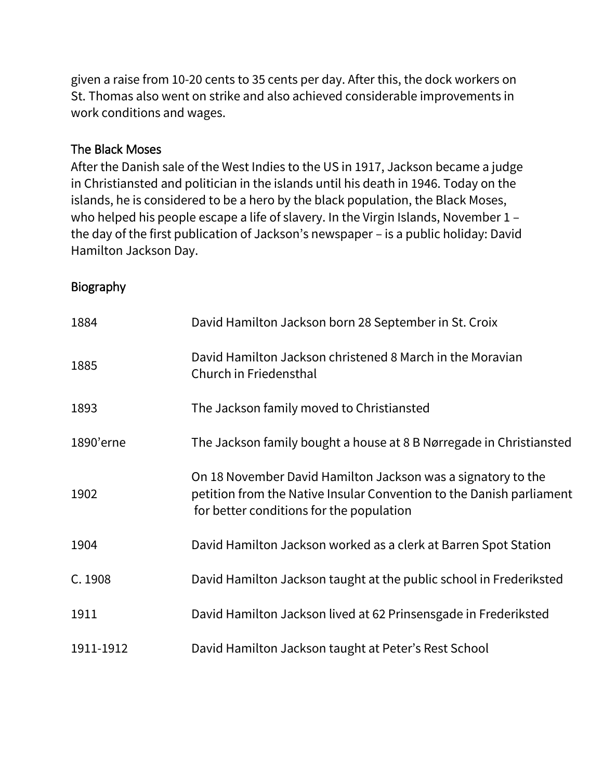given a raise from 10-20 cents to 35 cents per day. After this, the dock workers on St. Thomas also went on strike and also achieved considerable improvements in work conditions and wages.

#### The Black Moses

After the Danish sale of the West Indies to the US in 1917, Jackson became a judge in Christiansted and politician in the islands until his death in 1946. Today on the islands, he is considered to be a hero by the black population, the Black Moses, who helped his people escape a life of slavery. In the Virgin Islands, November 1 – the day of the first publication of Jackson's newspaper – is a public holiday: David Hamilton Jackson Day.

### Biography

| 1884      | David Hamilton Jackson born 28 September in St. Croix                                                                                                                            |
|-----------|----------------------------------------------------------------------------------------------------------------------------------------------------------------------------------|
| 1885      | David Hamilton Jackson christened 8 March in the Moravian<br>Church in Friedensthal                                                                                              |
| 1893      | The Jackson family moved to Christiansted                                                                                                                                        |
| 1890'erne | The Jackson family bought a house at 8 B Nørregade in Christiansted                                                                                                              |
| 1902      | On 18 November David Hamilton Jackson was a signatory to the<br>petition from the Native Insular Convention to the Danish parliament<br>for better conditions for the population |
| 1904      | David Hamilton Jackson worked as a clerk at Barren Spot Station                                                                                                                  |
| C. 1908   | David Hamilton Jackson taught at the public school in Frederiksted                                                                                                               |
| 1911      | David Hamilton Jackson lived at 62 Prinsensgade in Frederiksted                                                                                                                  |
| 1911-1912 | David Hamilton Jackson taught at Peter's Rest School                                                                                                                             |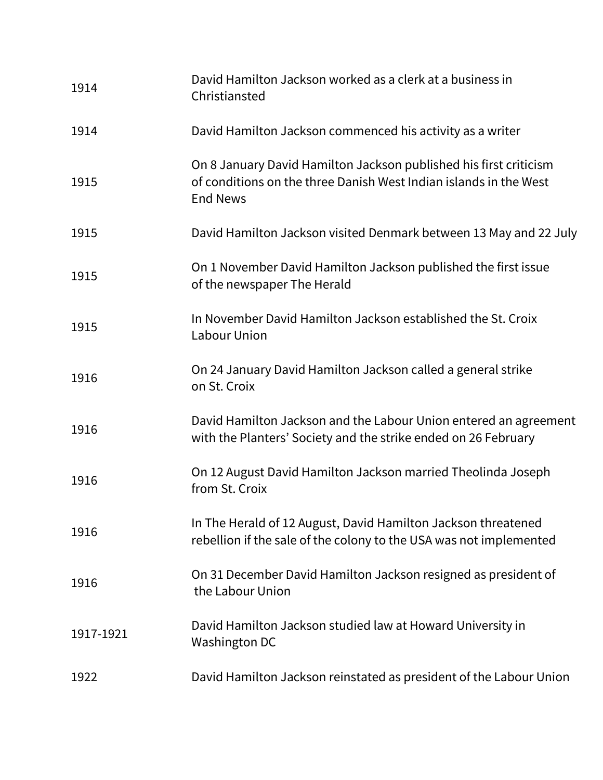| 1914      | David Hamilton Jackson worked as a clerk at a business in<br>Christiansted                                                                                |
|-----------|-----------------------------------------------------------------------------------------------------------------------------------------------------------|
| 1914      | David Hamilton Jackson commenced his activity as a writer                                                                                                 |
| 1915      | On 8 January David Hamilton Jackson published his first criticism<br>of conditions on the three Danish West Indian islands in the West<br><b>End News</b> |
| 1915      | David Hamilton Jackson visited Denmark between 13 May and 22 July                                                                                         |
| 1915      | On 1 November David Hamilton Jackson published the first issue<br>of the newspaper The Herald                                                             |
| 1915      | In November David Hamilton Jackson established the St. Croix<br>Labour Union                                                                              |
| 1916      | On 24 January David Hamilton Jackson called a general strike<br>on St. Croix                                                                              |
| 1916      | David Hamilton Jackson and the Labour Union entered an agreement<br>with the Planters' Society and the strike ended on 26 February                        |
| 1916      | On 12 August David Hamilton Jackson married Theolinda Joseph<br>from St. Croix                                                                            |
| 1916      | In The Herald of 12 August, David Hamilton Jackson threatened<br>rebellion if the sale of the colony to the USA was not implemented                       |
| 1916      | On 31 December David Hamilton Jackson resigned as president of<br>the Labour Union                                                                        |
| 1917-1921 | David Hamilton Jackson studied law at Howard University in<br><b>Washington DC</b>                                                                        |
| 1922      | David Hamilton Jackson reinstated as president of the Labour Union                                                                                        |